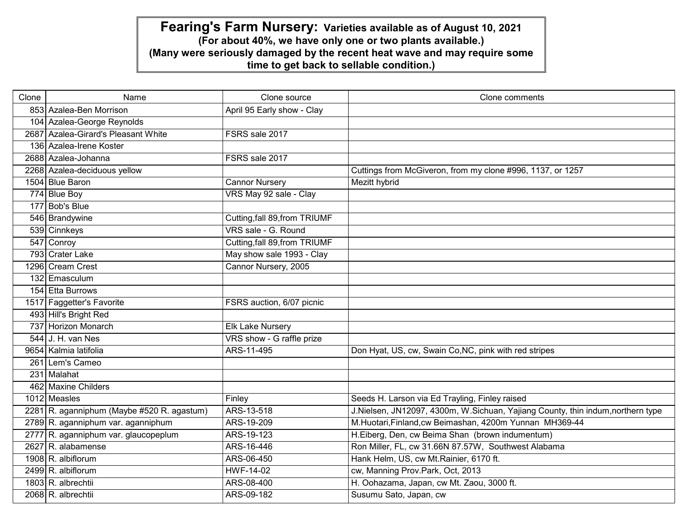| Clone | Name                                       | Clone source                  | Clone comments                                                                 |
|-------|--------------------------------------------|-------------------------------|--------------------------------------------------------------------------------|
|       | 853 Azalea-Ben Morrison                    | April 95 Early show - Clay    |                                                                                |
|       | 104 Azalea-George Reynolds                 |                               |                                                                                |
|       | 2687 Azalea-Girard's Pleasant White        | FSRS sale 2017                |                                                                                |
|       | 136 Azalea-Irene Koster                    |                               |                                                                                |
|       | 2688 Azalea-Johanna                        | FSRS sale 2017                |                                                                                |
|       | 2268 Azalea-deciduous yellow               |                               | Cuttings from McGiveron, from my clone #996, 1137, or 1257                     |
|       | 1504 Blue Baron                            | <b>Cannor Nursery</b>         | Mezitt hybrid                                                                  |
|       | 774 Blue Boy                               | VRS May 92 sale - Clay        |                                                                                |
|       | 177 Bob's Blue                             |                               |                                                                                |
|       | 546 Brandywine                             | Cutting, fall 89, from TRIUMF |                                                                                |
|       | 539 Cinnkeys                               | VRS sale - G. Round           |                                                                                |
|       | 547 Conroy                                 | Cutting, fall 89, from TRIUMF |                                                                                |
|       | 793 Crater Lake                            | May show sale 1993 - Clay     |                                                                                |
|       | 1296 Cream Crest                           | Cannor Nursery, 2005          |                                                                                |
|       | 132 Emasculum                              |                               |                                                                                |
|       | 154 Etta Burrows                           |                               |                                                                                |
|       | 1517 Faggetter's Favorite                  | FSRS auction, 6/07 picnic     |                                                                                |
|       | 493 Hill's Bright Red                      |                               |                                                                                |
|       | 737 Horizon Monarch                        | <b>Elk Lake Nursery</b>       |                                                                                |
|       | $544$ J. H. van Nes                        | VRS show - G raffle prize     |                                                                                |
|       | 9654 Kalmia latifolia                      | ARS-11-495                    | Don Hyat, US, cw, Swain Co, NC, pink with red stripes                          |
|       | 261 Lem's Cameo                            |                               |                                                                                |
|       | 231 Malahat                                |                               |                                                                                |
|       | 462 Maxine Childers                        |                               |                                                                                |
|       | 1012 Measles                               | Finley                        | Seeds H. Larson via Ed Trayling, Finley raised                                 |
|       | 2281 R. aganniphum (Maybe #520 R. agastum) | ARS-13-518                    | J.Nielsen, JN12097, 4300m, W.Sichuan, Yajiang County, thin indum,northern type |
|       | 2789 R. aganniphum var. aganniphum         | ARS-19-209                    | M.Huotari, Finland, cw Beimashan, 4200m Yunnan MH369-44                        |
|       | 2777 R. aganniphum var. glaucopeplum       | ARS-19-123                    | H.Eiberg, Den, cw Beima Shan (brown indumentum)                                |
|       | 2627 R. alabamense                         | ARS-16-446                    | Ron Miller, FL, cw 31.66N 87.57W, Southwest Alabama                            |
|       | 1908 R. albiflorum                         | ARS-06-450                    | Hank Helm, US, cw Mt.Rainier, 6170 ft.                                         |
|       | 2499 R. albiflorum                         | <b>HWF-14-02</b>              | cw, Manning Prov.Park, Oct, 2013                                               |
|       | $1803 R.$ albrechtii                       | ARS-08-400                    | H. Oohazama, Japan, cw Mt. Zaou, 3000 ft.                                      |
|       | 2068 R. albrechtii                         | ARS-09-182                    | Susumu Sato, Japan, cw                                                         |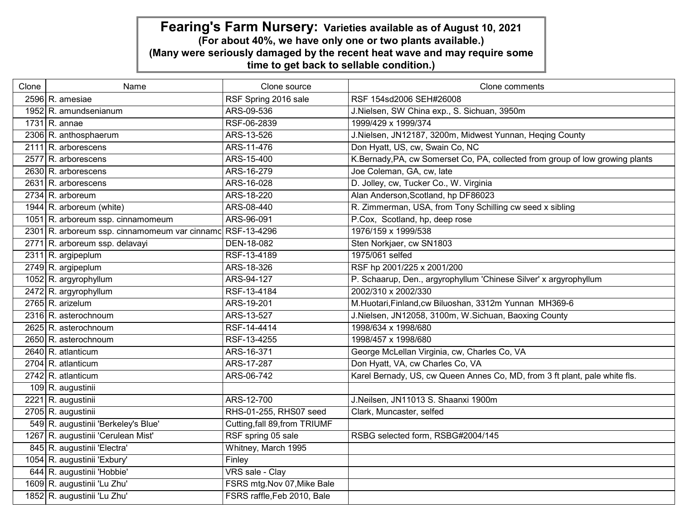| Clone | Name                                                      | Clone source                  | Clone comments                                                                |
|-------|-----------------------------------------------------------|-------------------------------|-------------------------------------------------------------------------------|
|       | 2596 R. amesiae                                           | RSF Spring 2016 sale          | RSF 154sd2006 SEH#26008                                                       |
|       | 1952 R. amundsenianum                                     | ARS-09-536                    | J.Nielsen, SW China exp., S. Sichuan, 3950m                                   |
|       | $1731 R$ . annae                                          | RSF-06-2839                   | 1999/429 x 1999/374                                                           |
|       | 2306 R. anthosphaerum                                     | ARS-13-526                    | J.Nielsen, JN12187, 3200m, Midwest Yunnan, Heqing County                      |
|       | $2111 R$ . arborescens                                    | ARS-11-476                    | Don Hyatt, US, cw, Swain Co, NC                                               |
|       | 2577 R. arborescens                                       | ARS-15-400                    | K.Bernady, PA, cw Somerset Co, PA, collected from group of low growing plants |
|       | 2630 R. arborescens                                       | ARS-16-279                    | Joe Coleman, GA, cw, late                                                     |
|       | $2631 R.$ arborescens                                     | ARS-16-028                    | D. Jolley, cw, Tucker Co., W. Virginia                                        |
|       | $2734$ R. arboreum                                        | ARS-18-220                    | Alan Anderson, Scotland, hp DF86023                                           |
|       | 1944 R. arboreum (white)                                  | ARS-08-440                    | R. Zimmerman, USA, from Tony Schilling cw seed x sibling                      |
|       | 1051 R. arboreum ssp. cinnamomeum                         | ARS-96-091                    | P.Cox, Scotland, hp, deep rose                                                |
|       | 2301 R. arboreum ssp. cinnamomeum var cinnamc RSF-13-4296 |                               | 1976/159 x 1999/538                                                           |
|       | 2771 R. arboreum ssp. delavayi                            | DEN-18-082                    | Sten Norkjaer, cw SN1803                                                      |
|       | 2311 R. argipeplum                                        | RSF-13-4189                   | 1975/061 selfed                                                               |
|       | 2749 R. argipeplum                                        | ARS-18-326                    | RSF hp 2001/225 x 2001/200                                                    |
|       | 1052 R. argyrophyllum                                     | ARS-94-127                    | P. Schaarup, Den., argyrophyllum 'Chinese Silver' x argyrophyllum             |
|       | 2472 R. argyrophyllum                                     | RSF-13-4184                   | 2002/310 x 2002/330                                                           |
|       | 2765 R. arizelum                                          | ARS-19-201                    | M.Huotari, Finland, cw Biluoshan, 3312m Yunnan MH369-6                        |
|       | 2316 R. asterochnoum                                      | ARS-13-527                    | J.Nielsen, JN12058, 3100m, W.Sichuan, Baoxing County                          |
|       | 2625 R. asterochnoum                                      | RSF-14-4414                   | 1998/634 x 1998/680                                                           |
|       | 2650 R. asterochnoum                                      | RSF-13-4255                   | 1998/457 x 1998/680                                                           |
|       | 2640 R. atlanticum                                        | ARS-16-371                    | George McLellan Virginia, cw, Charles Co, VA                                  |
|       | 2704 R. atlanticum                                        | ARS-17-287                    | Don Hyatt, VA, cw Charles Co, VA                                              |
|       | 2742 R. atlanticum                                        | ARS-06-742                    | Karel Bernady, US, cw Queen Annes Co, MD, from 3 ft plant, pale white fls.    |
|       | 109 R. augustinii                                         |                               |                                                                               |
|       | 2221 R. augustinii                                        | ARS-12-700                    | J.Neilsen, JN11013 S. Shaanxi 1900m                                           |
|       | 2705 R. augustinii                                        | RHS-01-255, RHS07 seed        | Clark, Muncaster, selfed                                                      |
|       | 549 R. augustinii 'Berkeley's Blue'                       | Cutting, fall 89, from TRIUMF |                                                                               |
|       | 1267 R. augustinii 'Cerulean Mist'                        | RSF spring 05 sale            | RSBG selected form, RSBG#2004/145                                             |
|       | 845 R. augustinii 'Electra'                               | Whitney, March 1995           |                                                                               |
|       | 1054 R. augustinii 'Exbury'                               | Finley                        |                                                                               |
|       | 644 R. augustinii 'Hobbie'                                | <b>VRS</b> sale - Clay        |                                                                               |
|       | 1609 R. augustinii 'Lu Zhu'                               | FSRS mtg.Nov 07, Mike Bale    |                                                                               |
|       | 1852 R. augustinii 'Lu Zhu'                               | FSRS raffle, Feb 2010, Bale   |                                                                               |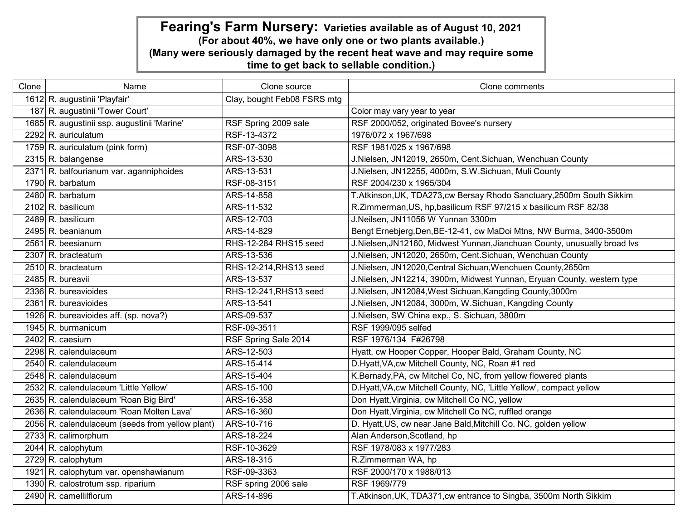| Clone | Name                                            | Clone source                | Clone comments                                                            |
|-------|-------------------------------------------------|-----------------------------|---------------------------------------------------------------------------|
|       | 1612 R. augustinii 'Playfair'                   | Clay, bought Feb08 FSRS mtg |                                                                           |
|       | 187 R. augustinii 'Tower Court'                 |                             | Color may vary year to year                                               |
|       | 1685 R. augustinii ssp. augustinii 'Marine'     | RSF Spring 2009 sale        | RSF 2000/052, originated Bovee's nursery                                  |
|       | 2292 R. auriculatum                             | RSF-13-4372                 | 1976/072 x 1967/698                                                       |
|       | 1759 R. auriculatum (pink form)                 | RSF-07-3098                 | RSF 1981/025 x 1967/698                                                   |
|       | $2315$ R. balangense                            | ARS-13-530                  | J.Nielsen, JN12019, 2650m, Cent.Sichuan, Wenchuan County                  |
|       | 2371 R. balfourianum var. aganniphoides         | ARS-13-531                  | J.Nielsen, JN12255, 4000m, S.W.Sichuan, Muli County                       |
|       | 1790 R. barbatum                                | RSF-08-3151                 | RSF 2004/230 x 1965/304                                                   |
|       | $2480$ R. barbatum                              | ARS-14-858                  | T.Atkinson, UK, TDA273, cw Bersay Rhodo Sanctuary, 2500m South Sikkim     |
|       | $2102$ R. basilicum                             | ARS-11-532                  | R.Zimmerman, US, hp, basilicum RSF 97/215 x basilicum RSF 82/38           |
|       | 2489 R. basilicum                               | ARS-12-703                  | J.Neilsen, JN11056 W Yunnan 3300m                                         |
|       | 2495 R. beanianum                               | ARS-14-829                  | Bengt Ernebjerg, Den, BE-12-41, cw MaDoi Mtns, NW Burma, 3400-3500m       |
|       | 2561 R. beesianum                               | RHS-12-284 RHS15 seed       | J.Nielsen, JN12160, Midwest Yunnan, Jianchuan County, unusually broad Ivs |
|       | 2307 R. bracteatum                              | ARS-13-536                  | J.Nielsen, JN12020, 2650m, Cent.Sichuan, Wenchuan County                  |
|       | 2510 R. bracteatum                              | RHS-12-214, RHS13 seed      | J.Nielsen, JN12020, Central Sichuan, Wenchuen County, 2650m               |
|       | 2485 R. bureavii                                | ARS-13-537                  | J.Nielsen, JN12214, 3900m, Midwest Yunnan, Eryuan County, western type    |
|       | 2336 R. bureavioides                            | RHS-12-241, RHS13 seed      | J.Nielsen, JN12084, West Sichuan, Kangding County, 3000m                  |
|       | $2361$ R. bureavioides                          | ARS-13-541                  | J.Nielsen, JN12084, 3000m, W.Sichuan, Kangding County                     |
|       | 1926 R. bureavioides aff. (sp. nova?)           | ARS-09-537                  | J.Nielsen, SW China exp., S. Sichuan, 3800m                               |
|       | 1945 R. burmanicum                              | RSF-09-3511                 | RSF 1999/095 selfed                                                       |
|       | $2402$ R. caesium                               | RSF Spring Sale 2014        | RSF 1976/134 F#26798                                                      |
|       | 2298 R. calendulaceum                           | ARS-12-503                  | Hyatt, cw Hooper Copper, Hooper Bald, Graham County, NC                   |
|       | 2540 R. calendulaceum                           | ARS-15-414                  | D.Hyatt, VA, cw Mitchell County, NC, Roan #1 red                          |
|       | 2548 R. calendulaceum                           | ARS-15-404                  | K.Bernady, PA, cw Mitchel Co, NC, from yellow flowered plants             |
|       | 2532 R. calendulaceum 'Little Yellow'           | ARS-15-100                  | D.Hyatt, VA, cw Mitchell County, NC, 'Little Yellow', compact yellow      |
|       | 2635 R. calendulaceum 'Roan Big Bird'           | ARS-16-358                  | Don Hyatt, Virginia, cw Mitchell Co NC, yellow                            |
|       | 2636 R. calendulaceum 'Roan Molten Lava'        | ARS-16-360                  | Don Hyatt, Virginia, cw Mitchell Co NC, ruffled orange                    |
|       | 2056 R. calendulaceum (seeds from yellow plant) | ARS-10-716                  | D. Hyatt, US, cw near Jane Bald, Mitchill Co. NC, golden yellow           |
|       | 2733 R. calimorphum                             | ARS-18-224                  | Alan Anderson, Scotland, hp                                               |
|       | 2044 R. calophytum                              | RSF-10-3629                 | RSF 1978/083 x 1977/283                                                   |
|       | $2729$ R. calophytum                            | ARS-18-315                  | R.Zimmerman WA, hp                                                        |
|       | 1921 R. calophytum var. openshawianum           | RSF-09-3363                 | RSF 2000/170 x 1988/013                                                   |
|       | 1390 R. calostrotum ssp. riparium               | RSF spring 2006 sale        | RSF 1969/779                                                              |
|       | 2490 R. camellilflorum                          | ARS-14-896                  | T.Atkinson, UK, TDA371, cw entrance to Singba, 3500m North Sikkim         |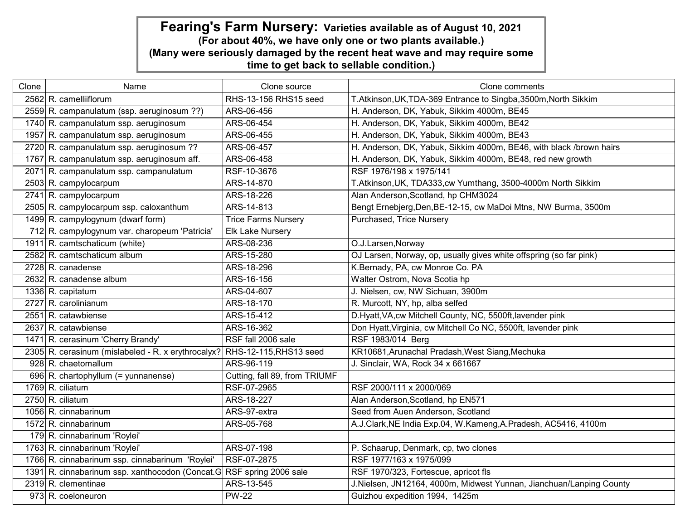| Clone | Name                                                                      | Clone source                  | Clone comments                                                      |
|-------|---------------------------------------------------------------------------|-------------------------------|---------------------------------------------------------------------|
|       | 2562 R. camelliiflorum                                                    | RHS-13-156 RHS15 seed         | T.Atkinson, UK, TDA-369 Entrance to Singba, 3500m, North Sikkim     |
|       | 2559 R. campanulatum (ssp. aeruginosum ??)                                | ARS-06-456                    | H. Anderson, DK, Yabuk, Sikkim 4000m, BE45                          |
|       | 1740 R. campanulatum ssp. aeruginosum                                     | ARS-06-454                    | H. Anderson, DK, Yabuk, Sikkim 4000m, BE42                          |
|       | 1957 R. campanulatum ssp. aeruginosum                                     | ARS-06-455                    | H. Anderson, DK, Yabuk, Sikkim 4000m, BE43                          |
|       | 2720 R. campanulatum ssp. aeruginosum ??                                  | ARS-06-457                    | H. Anderson, DK, Yabuk, Sikkim 4000m, BE46, with black /brown hairs |
|       | 1767 R. campanulatum ssp. aeruginosum aff.                                | ARS-06-458                    | H. Anderson, DK, Yabuk, Sikkim 4000m, BE48, red new growth          |
|       | 2071 R. campanulatum ssp. campanulatum                                    | RSF-10-3676                   | RSF 1976/198 x 1975/141                                             |
|       | 2503 R. campylocarpum                                                     | ARS-14-870                    | T.Atkinson, UK, TDA333, cw Yumthang, 3500-4000m North Sikkim        |
|       | 2741 R. campylocarpum                                                     | ARS-18-226                    | Alan Anderson, Scotland, hp CHM3024                                 |
|       | 2505 R. campylocarpum ssp. caloxanthum                                    | ARS-14-813                    | Bengt Ernebjerg, Den, BE-12-15, cw MaDoi Mtns, NW Burma, 3500m      |
|       | 1499 R. campylogynum (dwarf form)                                         | <b>Trice Farms Nursery</b>    | Purchased, Trice Nursery                                            |
|       | 712 R. campylogynum var. charopeum 'Patricia'                             | <b>Elk Lake Nursery</b>       |                                                                     |
|       | 1911 R. camtschaticum (white)                                             | ARS-08-236                    | O.J.Larsen, Norway                                                  |
|       | 2582 R. camtschaticum album                                               | ARS-15-280                    | OJ Larsen, Norway, op, usually gives white offspring (so far pink)  |
|       | $2728$ R. canadense                                                       | ARS-18-296                    | K.Bernady, PA, cw Monroe Co. PA                                     |
|       | 2632 R. canadense album                                                   | ARS-16-156                    | Walter Ostrom, Nova Scotia hp                                       |
|       | 1336 R. capitatum                                                         | ARS-04-607                    | J. Nielsen, cw, NW Sichuan, 3900m                                   |
|       | 2727 R. carolinianum                                                      | ARS-18-170                    | R. Murcott, NY, hp, alba selfed                                     |
|       | 2551 R. catawbiense                                                       | ARS-15-412                    | D.Hyatt, VA, cw Mitchell County, NC, 5500ft, lavender pink          |
|       | 2637 R. catawbiense                                                       | ARS-16-362                    | Don Hyatt, Virginia, cw Mitchell Co NC, 5500ft, lavender pink       |
|       | 1471 R. cerasinum 'Cherry Brandy'                                         | RSF fall 2006 sale            | RSF 1983/014 Berg                                                   |
|       | 2305 R. cerasinum (mislabeled - R. x erythrocalyx? RHS-12-115, RHS13 seed |                               | KR10681, Arunachal Pradash, West Siang, Mechuka                     |
|       | 928 R. chaetomallum                                                       | ARS-96-119                    | J. Sinclair, WA, Rock 34 x 661667                                   |
|       | 696 R. chartophyllum $(=$ yunnanense)                                     | Cutting, fall 89, from TRIUMF |                                                                     |
|       | 1769 R. ciliatum                                                          | RSF-07-2965                   | RSF 2000/111 x 2000/069                                             |
|       | $2750$ R. ciliatum                                                        | ARS-18-227                    | Alan Anderson, Scotland, hp EN571                                   |
|       | 1056 R. cinnabarinum                                                      | ARS-97-extra                  | Seed from Auen Anderson, Scotland                                   |
|       | 1572 R. cinnabarinum                                                      | ARS-05-768                    | A.J.Clark, NE India Exp.04, W.Kameng, A.Pradesh, AC5416, 4100m      |
|       | 179 R. cinnabarinum 'Roylei'                                              |                               |                                                                     |
|       | 1763 R. cinnabarinum 'Roylei'                                             | ARS-07-198                    | P. Schaarup, Denmark, cp, two clones                                |
|       | 1766 R. cinnabarinum ssp. cinnabarinum 'Roylei'                           | RSF-07-2875                   | RSF 1977/163 x 1975/099                                             |
|       | 1391 R. cinnabarinum ssp. xanthocodon (Concat.G RSF spring 2006 sale      |                               | RSF 1970/323, Fortescue, apricot fls                                |
|       | $2319 R.$ clementinae                                                     | ARS-13-545                    | J.Nielsen, JN12164, 4000m, Midwest Yunnan, Jianchuan/Lanping County |
|       | 973 R. coeloneuron                                                        | <b>PW-22</b>                  | Guizhou expedition 1994, 1425m                                      |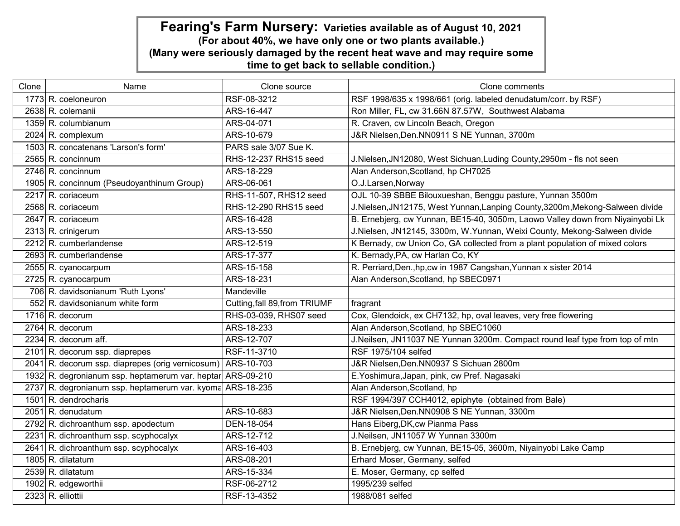| Clone | Name                                                        | Clone source                  | Clone comments                                                                |
|-------|-------------------------------------------------------------|-------------------------------|-------------------------------------------------------------------------------|
|       | 1773 R. coeloneuron                                         | RSF-08-3212                   | RSF 1998/635 x 1998/661 (orig. labeled denudatum/corr. by RSF)                |
|       | 2638 R. colemanii                                           | ARS-16-447                    | Ron Miller, FL, cw 31.66N 87.57W, Southwest Alabama                           |
|       | 1359 R. columbianum                                         | ARS-04-071                    | R. Craven, cw Lincoln Beach, Oregon                                           |
|       | 2024 R. complexum                                           | ARS-10-679                    | J&R Nielsen, Den. NN0911 S NE Yunnan, 3700m                                   |
|       | 1503 R. concatenans 'Larson's form'                         | PARS sale 3/07 Sue K.         |                                                                               |
|       | $2565$ R. concinnum                                         | RHS-12-237 RHS15 seed         | J.Nielsen, JN12080, West Sichuan, Luding County, 2950m - fls not seen         |
|       | $2746$ R. concinnum                                         | ARS-18-229                    | Alan Anderson, Scotland, hp CH7025                                            |
|       | 1905 R. concinnum (Pseudoyanthinum Group)                   | ARS-06-061                    | O.J.Larsen, Norway                                                            |
|       | 2217 R. coriaceum                                           | RHS-11-507, RHS12 seed        | OJL 10-39 SBBE Bilouxueshan, Benggu pasture, Yunnan 3500m                     |
|       | $2568$ R. coriaceum                                         | RHS-12-290 RHS15 seed         | J.Nielsen, JN12175, West Yunnan, Lanping County, 3200m, Mekong-Salween divide |
|       | $2647$ R. coriaceum                                         | ARS-16-428                    | B. Ernebjerg, cw Yunnan, BE15-40, 3050m, Laowo Valley down from Niyainyobi Lk |
|       | 2313 R. crinigerum                                          | ARS-13-550                    | J.Nielsen, JN12145, 3300m, W.Yunnan, Weixi County, Mekong-Salween divide      |
|       | 2212 R. cumberlandense                                      | ARS-12-519                    | K Bernady, cw Union Co, GA collected from a plant population of mixed colors  |
|       | 2693 R. cumberlandense                                      | ARS-17-377                    | K. Bernady, PA, cw Harlan Co, KY                                              |
|       | 2555 R. cyanocarpum                                         | ARS-15-158                    | R. Perriard, Den., hp, cw in 1987 Cangshan, Yunnan x sister 2014              |
|       | 2725 R. cyanocarpum                                         | ARS-18-231                    | Alan Anderson, Scotland, hp SBEC0971                                          |
|       | 706 R. davidsonianum 'Ruth Lyons'                           | Mandeville                    |                                                                               |
|       | 552 R. davidsonianum white form                             | Cutting, fall 89, from TRIUMF | fragrant                                                                      |
|       | 1716 R. decorum                                             | RHS-03-039, RHS07 seed        | Cox, Glendoick, ex CH7132, hp, oval leaves, very free flowering               |
|       | $2764$ R. decorum                                           | ARS-18-233                    | Alan Anderson, Scotland, hp SBEC1060                                          |
|       | 2234 R. decorum aff.                                        | ARS-12-707                    | J.Neilsen, JN11037 NE Yunnan 3200m. Compact round leaf type from top of mtn   |
|       | 2101 R. decorum ssp. diaprepes                              | RSF-11-3710                   | RSF 1975/104 selfed                                                           |
|       | 2041 R. decorum ssp. diaprepes (orig vernicosum) ARS-10-703 |                               | J&R Nielsen, Den. NN0937 S Sichuan 2800m                                      |
|       | 1932 R. degronianum ssp. heptamerum var. heptar ARS-09-210  |                               | E. Yoshimura, Japan, pink, cw Pref. Nagasaki                                  |
|       | 2737 R. degronianum ssp. heptamerum var. kyoma ARS-18-235   |                               | Alan Anderson, Scotland, hp                                                   |
|       | 1501 R. dendrocharis                                        |                               | RSF 1994/397 CCH4012, epiphyte (obtained from Bale)                           |
|       | $2051$ R. denudatum                                         | ARS-10-683                    | J&R Nielsen, Den. NN0908 S NE Yunnan, 3300m                                   |
|       | 2792 R. dichroanthum ssp. apodectum                         | DEN-18-054                    | Hans Eiberg, DK, cw Pianma Pass                                               |
|       | 2231 R. dichroanthum ssp. scyphocalyx                       | ARS-12-712                    | J.Neilsen, JN11057 W Yunnan 3300m                                             |
|       | 2641 R. dichroanthum ssp. scyphocalyx                       | ARS-16-403                    | B. Ernebjerg, cw Yunnan, BE15-05, 3600m, Niyainyobi Lake Camp                 |
|       | 1805 R. dilatatum                                           | ARS-08-201                    | Erhard Moser, Germany, selfed                                                 |
|       | $2539 R.$ dilatatum                                         | ARS-15-334                    | E. Moser, Germany, cp selfed                                                  |
|       | 1902 R. edgeworthii                                         | RSF-06-2712                   | 1995/239 selfed                                                               |
|       | $2323$ R. elliottii                                         | RSF-13-4352                   | 1988/081 selfed                                                               |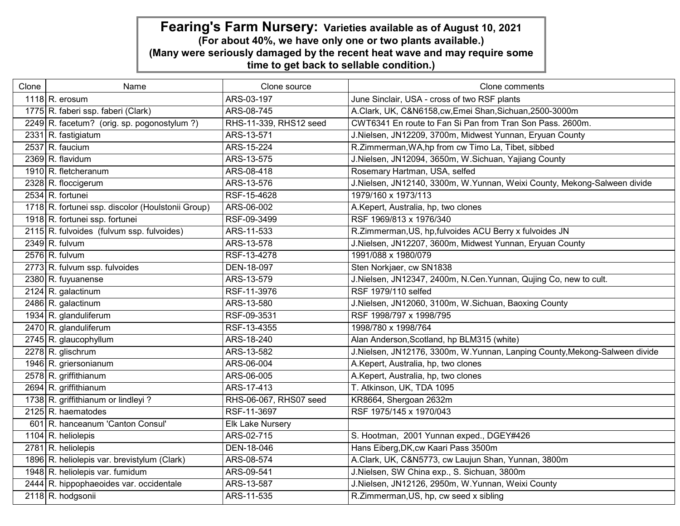| Clone | Name                                              | Clone source            | Clone comments                                                             |
|-------|---------------------------------------------------|-------------------------|----------------------------------------------------------------------------|
|       | 1118 R. erosum                                    | ARS-03-197              | June Sinclair, USA - cross of two RSF plants                               |
|       | 1775 R. faberi ssp. faberi (Clark)                | ARS-08-745              | A.Clark, UK, C&N6158,cw,Emei Shan,Sichuan,2500-3000m                       |
|       | 2249 R. facetum? (orig. sp. pogonostylum?)        | RHS-11-339, RHS12 seed  | CWT6341 En route to Fan Si Pan from Tran Son Pass. 2600m.                  |
|       | 2331 R. fastigiatum                               | ARS-13-571              | J.Nielsen, JN12209, 3700m, Midwest Yunnan, Eryuan County                   |
|       | $2537$ R. faucium                                 | ARS-15-224              | R.Zimmerman, WA, hp from cw Timo La, Tibet, sibbed                         |
|       | $2369 R.$ flavidum                                | ARS-13-575              | J.Nielsen, JN12094, 3650m, W.Sichuan, Yajiang County                       |
|       | 1910 R. fletcheranum                              | ARS-08-418              | Rosemary Hartman, USA, selfed                                              |
|       | 2328 R. floccigerum                               | ARS-13-576              | J.Nielsen, JN12140, 3300m, W.Yunnan, Weixi County, Mekong-Salween divide   |
|       | $2534$ R. fortunei                                | RSF-15-4628             | 1979/160 x 1973/113                                                        |
|       | 1718 R. fortunei ssp. discolor (Houlstonii Group) | ARS-06-002              | A.Kepert, Australia, hp, two clones                                        |
|       | 1918 R. fortunei ssp. fortunei                    | RSF-09-3499             | RSF 1969/813 x 1976/340                                                    |
|       | 2115 R. fulvoides (fulvum ssp. fulvoides)         | ARS-11-533              | R.Zimmerman, US, hp, fulvoides ACU Berry x fulvoides JN                    |
|       | $2349$ R. fulvum                                  | ARS-13-578              | J.Nielsen, JN12207, 3600m, Midwest Yunnan, Eryuan County                   |
|       | $2576$ R. fulvum                                  | RSF-13-4278             | 1991/088 x 1980/079                                                        |
|       | 2773 R. fulvum ssp. fulvoides                     | DEN-18-097              | Sten Norkjaer, cw SN1838                                                   |
|       | 2380 R. fuyuanense                                | ARS-13-579              | J.Nielsen, JN12347, 2400m, N.Cen.Yunnan, Qujing Co, new to cult.           |
|       | 2124 R. galactinum                                | RSF-11-3976             | RSF 1979/110 selfed                                                        |
|       | 2486 R. galactinum                                | ARS-13-580              | J.Nielsen, JN12060, 3100m, W.Sichuan, Baoxing County                       |
|       | 1934 R. glanduliferum                             | RSF-09-3531             | RSF 1998/797 x 1998/795                                                    |
|       | 2470 R. glanduliferum                             | RSF-13-4355             | 1998/780 x 1998/764                                                        |
|       | 2745 R. glaucophyllum                             | ARS-18-240              | Alan Anderson, Scotland, hp BLM315 (white)                                 |
|       | 2278 R. glischrum                                 | ARS-13-582              | J.Nielsen, JN12176, 3300m, W.Yunnan, Lanping County, Mekong-Salween divide |
|       | 1946 R. griersonianum                             | ARS-06-004              | A.Kepert, Australia, hp, two clones                                        |
|       | 2578 R. griffithianum                             | ARS-06-005              | A.Kepert, Australia, hp, two clones                                        |
|       | 2694 R. griffithianum                             | ARS-17-413              | T. Atkinson, UK, TDA 1095                                                  |
|       | 1738 R. griffithianum or lindleyi?                | RHS-06-067, RHS07 seed  | KR8664, Shergoan 2632m                                                     |
|       | 2125 R. haematodes                                | RSF-11-3697             | RSF 1975/145 x 1970/043                                                    |
|       | 601 R. hanceanum 'Canton Consul'                  | <b>Elk Lake Nursery</b> |                                                                            |
|       | 1104 R. heliolepis                                | ARS-02-715              | S. Hootman, 2001 Yunnan exped., DGEY#426                                   |
|       | $2781$ R. heliolepis                              | DEN-18-046              | Hans Eiberg, DK, cw Kaari Pass 3500m                                       |
|       | 1896 R. heliolepis var. brevistylum (Clark)       | ARS-08-574              | A.Clark, UK, C&N5773, cw Laujun Shan, Yunnan, 3800m                        |
|       | 1948 R. heliolepis var. fumidum                   | ARS-09-541              | J.Nielsen, SW China exp., S. Sichuan, 3800m                                |
|       | 2444 R. hippophaeoides var. occidentale           | ARS-13-587              | J.Nielsen, JN12126, 2950m, W.Yunnan, Weixi County                          |
|       | 2118 R. hodgsonii                                 | ARS-11-535              | R.Zimmerman, US, hp, cw seed x sibling                                     |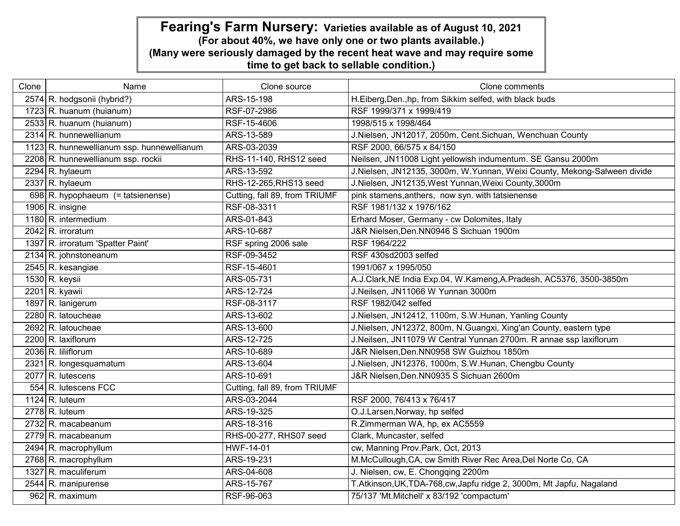| Clone | Name                                       | Clone source                  | Clone comments                                                           |
|-------|--------------------------------------------|-------------------------------|--------------------------------------------------------------------------|
|       | 2574 R. hodgsonii (hybrid?)                | ARS-15-198                    | H.Eiberg, Den., hp, from Sikkim selfed, with black buds                  |
|       | $1723$ R. huanum (huianum)                 | RSF-07-2986                   | RSF 1999/371 x 1999/419                                                  |
|       | 2533 R. huanum (huianum)                   | RSF-15-4606                   | 1998/515 x 1998/464                                                      |
|       | 2314 R. hunnewellianum                     | ARS-13-589                    | J.Nielsen, JN12017, 2050m, Cent.Sichuan, Wenchuan County                 |
|       | 1123 R. hunnewellianum ssp. hunnewellianum | ARS-03-2039                   | RSF 2000, 66/575 x 84/150                                                |
|       | 2208 R. hunnewellianum ssp. rockii         | RHS-11-140, RHS12 seed        | Neilsen, JN11008 Light yellowish indumentum. SE Gansu 2000m              |
|       | $2294$ R. hylaeum                          | ARS-13-592                    | J.Nielsen, JN12135, 3000m, W.Yunnan, Weixi County, Mekong-Salween divide |
|       | $2337 R.$ hylaeum                          | RHS-12-265, RHS13 seed        | J.Nielsen, JN12135, West Yunnan, Weixi County, 3000m                     |
|       | 698 R. hypophaeum $(=$ tatsienense)        | Cutting, fall 89, from TRIUMF | pink stamens, anthers, now syn. with tatsienense                         |
|       | 1906 R. insigne                            | RSF-08-3311                   | RSF 1981/132 x 1976/162                                                  |
|       | 1180 R. intermedium                        | ARS-01-843                    | Erhard Moser, Germany - cw Dolomites, Italy                              |
|       | 2042 R. irroratum                          | ARS-10-687                    | J&R Nielsen, Den. NN0946 S Sichuan 1900m                                 |
|       | 1397 R. irroratum 'Spatter Paint'          | RSF spring 2006 sale          | RSF 1964/222                                                             |
|       | 2134 R. johnstoneanum                      | RSF-09-3452                   | RSF 430sd2003 selfed                                                     |
|       | 2545 R. kesangiae                          | RSF-15-4601                   | 1991/067 x 1995/050                                                      |
|       | $1530 R.$ keysii                           | ARS-05-731                    | A.J.Clark, NE India Exp.04, W.Kameng, A.Pradesh, AC5376, 3500-3850m      |
|       | 2201 R. kyawii                             | ARS-12-724                    | J.Neilsen, JN11066 W Yunnan 3000m                                        |
|       | 1897 R. lanigerum                          | RSF-08-3117                   | RSF 1982/042 selfed                                                      |
|       | 2280 R. latoucheae                         | ARS-13-602                    | J.Nielsen, JN12412, 1100m, S.W.Hunan, Yanling County                     |
|       | $2692$ R. latoucheae                       | ARS-13-600                    | J.Nielsen, JN12372, 800m, N.Guangxi, Xing'an County, eastern type        |
|       | 2200 R. laxiflorum                         | ARS-12-725                    | J.Neilsen, JN11079 W Central Yunnan 2700m. R annae ssp laxiflorum        |
|       | 2036 R. liliiflorum                        | ARS-10-689                    | J&R Nielsen, Den. NN0958 SW Guizhou 1850m                                |
|       | 2321 R. longesquamatum                     | ARS-13-604                    | J.Nielsen, JN12376, 1000m, S.W.Hunan, Chengbu County                     |
|       | $2077$ R. lutescens                        | ARS-10-691                    | J&R Nielsen, Den. NN0935 S Sichuan 2600m                                 |
|       | 554 R. lutescens FCC                       | Cutting, fall 89, from TRIUMF |                                                                          |
|       | 1124 R. luteum                             | ARS-03-2044                   | RSF 2000, 76/413 x 76/417                                                |
|       | $2778$ R. luteum                           | ARS-19-325                    | O.J.Larsen, Norway, hp selfed                                            |
|       | 2732 R. macabeanum                         | ARS-18-316                    | R.Zimmerman WA, hp, ex AC5559                                            |
|       | 2779 R. macabeanum                         | RHS-00-277, RHS07 seed        | Clark, Muncaster, selfed                                                 |
|       | 2494 R. macrophyllum                       | HWF-14-01                     | cw, Manning Prov.Park, Oct, 2013                                         |
|       | 2768 R. macrophyllum                       | ARS-19-231                    | M.McCullough, CA, cw Smith River Rec Area, Del Norte Co, CA              |
|       | 1327 R. maculiferum                        | ARS-04-608                    | J. Nielsen, cw, E. Chongqing 2200m                                       |
|       | 2544 R. manipurense                        | ARS-15-767                    | T.Atkinson, UK, TDA-768, cw, Japfu ridge 2, 3000m, Mt Japfu, Nagaland    |
|       | $962$ R. maximum                           | RSF-96-063                    | 75/137 'Mt.Mitchell' x 83/192 'compactum'                                |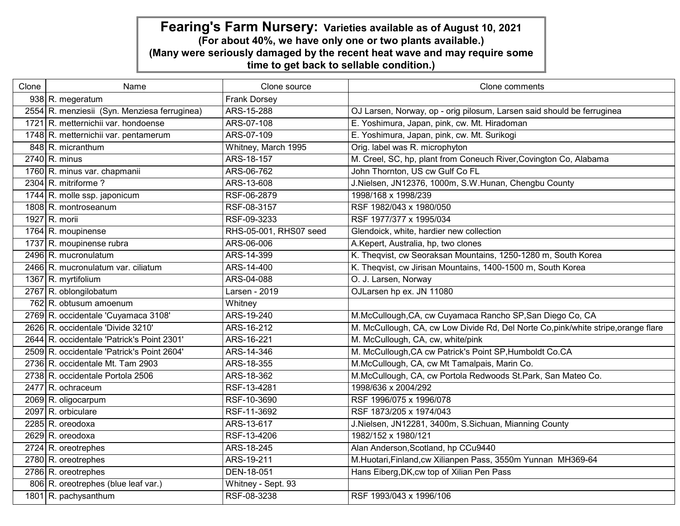| Clone | Name                                         | Clone source           | Clone comments                                                                     |
|-------|----------------------------------------------|------------------------|------------------------------------------------------------------------------------|
|       | 938 R. megeratum                             | Frank Dorsey           |                                                                                    |
|       | 2554 R. menziesii (Syn. Menziesa ferruginea) | ARS-15-288             | OJ Larsen, Norway, op - orig pilosum, Larsen said should be ferruginea             |
|       | 1721 R. metternichii var. hondoense          | ARS-07-108             | E. Yoshimura, Japan, pink, cw. Mt. Hiradoman                                       |
|       | 1748 R. metternichii var. pentamerum         | ARS-07-109             | E. Yoshimura, Japan, pink, cw. Mt. Surikogi                                        |
|       | 848 R. micranthum                            | Whitney, March 1995    | Orig. label was R. microphyton                                                     |
|       | 2740 R. minus                                | ARS-18-157             | M. Creel, SC, hp, plant from Coneuch River, Covington Co, Alabama                  |
|       | 1760 R. minus var. chapmanii                 | ARS-06-762             | John Thornton, US cw Gulf Co FL                                                    |
|       | 2304 R. mitriforme?                          | ARS-13-608             | J.Nielsen, JN12376, 1000m, S.W.Hunan, Chengbu County                               |
|       | 1744 R. molle ssp. japonicum                 | RSF-06-2879            | 1998/168 x 1998/239                                                                |
|       | 1808 R. montroseanum                         | RSF-08-3157            | RSF 1982/043 x 1980/050                                                            |
|       | 1927 R. morii                                | RSF-09-3233            | RSF 1977/377 x 1995/034                                                            |
|       | 1764 R. moupinense                           | RHS-05-001, RHS07 seed | Glendoick, white, hardier new collection                                           |
|       | 1737 R. moupinense rubra                     | ARS-06-006             | A.Kepert, Australia, hp, two clones                                                |
|       | 2496 R. mucronulatum                         | ARS-14-399             | K. Theqvist, cw Seoraksan Mountains, 1250-1280 m, South Korea                      |
|       | 2466 R. mucronulatum var. ciliatum           | ARS-14-400             | K. Theqvist, cw Jirisan Mountains, 1400-1500 m, South Korea                        |
|       | 1367 R. myrtifolium                          | ARS-04-088             | O. J. Larsen, Norway                                                               |
|       | 2767 R. oblongilobatum                       | Larsen - 2019          | OJLarsen hp ex. JN 11080                                                           |
|       | 762 R. obtusum amoenum                       | Whitney                |                                                                                    |
|       | 2769 R. occidentale 'Cuyamaca 3108'          | ARS-19-240             | M.McCullough, CA, cw Cuyamaca Rancho SP, San Diego Co, CA                          |
|       | 2626 R. occidentale 'Divide 3210'            | ARS-16-212             | M. McCullough, CA, cw Low Divide Rd, Del Norte Co, pink/white stripe, orange flare |
|       | 2644 R. occidentale 'Patrick's Point 2301'   | ARS-16-221             | M. McCullough, CA, cw, white/pink                                                  |
|       | 2509 R. occidentale 'Patrick's Point 2604'   | ARS-14-346             | M. McCullough, CA cw Patrick's Point SP, Humboldt Co.CA                            |
|       | 2736 R. occidentale Mt. Tam 2903             | ARS-18-355             | M.McCullough, CA, cw Mt Tamalpais, Marin Co.                                       |
|       | 2738 R. occidentale Portola 2506             | ARS-18-362             | M.McCullough, CA, cw Portola Redwoods St.Park, San Mateo Co.                       |
|       | 2477 R. ochraceum                            | RSF-13-4281            | 1998/636 x 2004/292                                                                |
|       | 2069 R. oligocarpum                          | RSF-10-3690            | RSF 1996/075 x 1996/078                                                            |
|       | 2097 R. orbiculare                           | RSF-11-3692            | RSF 1873/205 x 1974/043                                                            |
|       | $2285$ R. oreodoxa                           | ARS-13-617             | J.Nielsen, JN12281, 3400m, S.Sichuan, Mianning County                              |
|       | $2629 R.$ oreodoxa                           | RSF-13-4206            | 1982/152 x 1980/121                                                                |
|       | $2724$ R. oreotrephes                        | ARS-18-245             | Alan Anderson, Scotland, hp CCu9440                                                |
|       | 2780 R. oreotrephes                          | ARS-19-211             | M.Huotari, Finland, cw Xilianpen Pass, 3550m Yunnan MH369-64                       |
|       | $2786$ R. oreotrephes                        | DEN-18-051             | Hans Eiberg, DK, cw top of Xilian Pen Pass                                         |
|       | 806 R. oreotrephes (blue leaf var.)          | Whitney - Sept. 93     |                                                                                    |
|       | 1801 R. pachysanthum                         | RSF-08-3238            | RSF 1993/043 x 1996/106                                                            |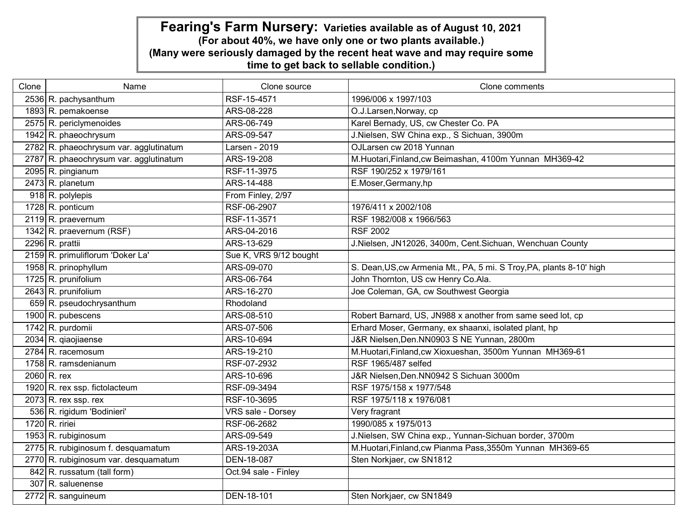| Clone | Name                                   | Clone source             | Clone comments                                                       |
|-------|----------------------------------------|--------------------------|----------------------------------------------------------------------|
|       | 2536 R. pachysanthum                   | RSF-15-4571              | 1996/006 x 1997/103                                                  |
|       | 1893 R. pemakoense                     | ARS-08-228               | O.J.Larsen, Norway, cp                                               |
|       | 2575 R. periclymenoides                | ARS-06-749               | Karel Bernady, US, cw Chester Co. PA                                 |
|       | 1942 R. phaeochrysum                   | ARS-09-547               | J.Nielsen, SW China exp., S Sichuan, 3900m                           |
|       | 2782 R. phaeochrysum var. agglutinatum | Larsen - 2019            | OJLarsen cw 2018 Yunnan                                              |
|       | 2787 R. phaeochrysum var. agglutinatum | ARS-19-208               | M.Huotari, Finland, cw Beimashan, 4100m Yunnan MH369-42              |
|       | 2095 R. pingianum                      | RSF-11-3975              | RSF 190/252 x 1979/161                                               |
|       | 2473 R. planetum                       | ARS-14-488               | E.Moser, Germany, hp                                                 |
|       | $918$ R. polylepis                     | From Finley, 2/97        |                                                                      |
|       | 1728 R. ponticum                       | RSF-06-2907              | 1976/411 x 2002/108                                                  |
|       | 2119 R. praevernum                     | RSF-11-3571              | RSF 1982/008 x 1966/563                                              |
|       | 1342 R. praevernum (RSF)               | ARS-04-2016              | <b>RSF 2002</b>                                                      |
|       | 2296 R. prattii                        | ARS-13-629               | J.Nielsen, JN12026, 3400m, Cent.Sichuan, Wenchuan County             |
|       | 2159 R. primuliflorum 'Doker La'       | Sue K, VRS 9/12 bought   |                                                                      |
|       | 1958 R. prinophyllum                   | ARS-09-070               | S. Dean, US, cw Armenia Mt., PA, 5 mi. S Troy, PA, plants 8-10' high |
|       | 1725 R. prunifolium                    | ARS-06-764               | John Thornton, US cw Henry Co.Ala.                                   |
|       | 2643 R. prunifolium                    | ARS-16-270               | Joe Coleman, GA, cw Southwest Georgia                                |
|       | 659 R. pseudochrysanthum               | Rhodoland                |                                                                      |
|       | 1900 R. pubescens                      | ARS-08-510               | Robert Barnard, US, JN988 x another from same seed lot, cp           |
|       | 1742 R. purdomii                       | ARS-07-506               | Erhard Moser, Germany, ex shaanxi, isolated plant, hp                |
|       | 2034 R. giaojiaense                    | ARS-10-694               | J&R Nielsen, Den. NN0903 S NE Yunnan, 2800m                          |
|       | 2784 R. racemosum                      | ARS-19-210               | M.Huotari, Finland, cw Xioxueshan, 3500m Yunnan MH369-61             |
|       | 1758 R. ramsdenianum                   | RSF-07-2932              | RSF 1965/487 selfed                                                  |
|       | $2060$ R. rex                          | ARS-10-696               | J&R Nielsen, Den. NN0942 S Sichuan 3000m                             |
|       | 1920 R. rex ssp. fictolacteum          | RSF-09-3494              | RSF 1975/158 x 1977/548                                              |
|       | $2073$ R. rex ssp. rex                 | RSF-10-3695              | RSF 1975/118 x 1976/081                                              |
|       | 536 R. rigidum 'Bodinieri'             | <b>VRS</b> sale - Dorsey | Very fragrant                                                        |
|       | 1720 R. ririei                         | RSF-06-2682              | 1990/085 x 1975/013                                                  |
|       | 1953 R. rubiginosum                    | ARS-09-549               | J.Nielsen, SW China exp., Yunnan-Sichuan border, 3700m               |
|       | 2775 R. rubiginosum f. desquamatum     | ARS-19-203A              | M.Huotari, Finland, cw Pianma Pass, 3550m Yunnan MH369-65            |
|       | 2770 R. rubiginosum var. desquamatum   | <b>DEN-18-087</b>        | Sten Norkjaer, cw SN1812                                             |
|       | 842 R. russatum (tall form)            | Oct.94 sale - Finley     |                                                                      |
|       | 307 R. saluenense                      |                          |                                                                      |
|       | 2772 R. sanguineum                     | <b>DEN-18-101</b>        | Sten Norkjaer, cw SN1849                                             |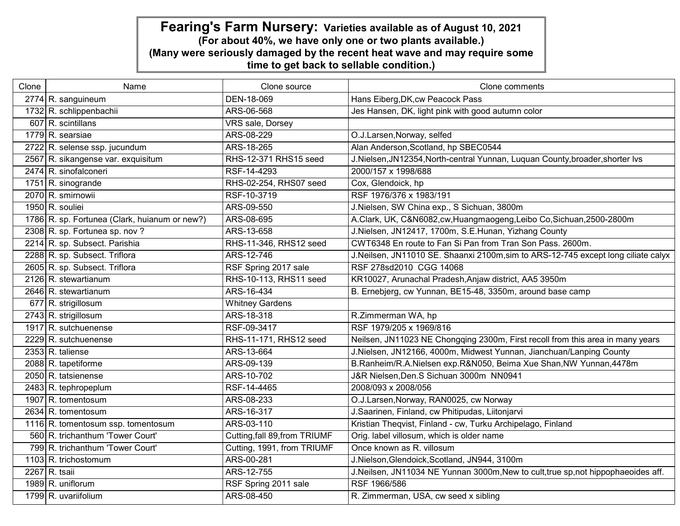| Clone | Name                                          | Clone source                  | Clone comments                                                                    |
|-------|-----------------------------------------------|-------------------------------|-----------------------------------------------------------------------------------|
|       | 2774 R. sanguineum                            | DEN-18-069                    | Hans Eiberg, DK, cw Peacock Pass                                                  |
|       | 1732 R. schlippenbachii                       | ARS-06-568                    | Jes Hansen, DK, light pink with good autumn color                                 |
|       | $607$ R. scintillans                          | VRS sale, Dorsey              |                                                                                   |
|       | 1779 R. searsiae                              | ARS-08-229                    | O.J.Larsen, Norway, selfed                                                        |
|       | 2722 R. selense ssp. jucundum                 | ARS-18-265                    | Alan Anderson, Scotland, hp SBEC0544                                              |
|       | 2567 R. sikangense var. exquisitum            | RHS-12-371 RHS15 seed         | J.Nielsen, JN12354, North-central Yunnan, Luquan County, broader, shorter Ivs     |
|       | 2474 R. sinofalconeri                         | RSF-14-4293                   | 2000/157 x 1998/688                                                               |
|       | 1751 R. sinogrande                            | RHS-02-254, RHS07 seed        | Cox, Glendoick, hp                                                                |
|       | 2070 R. smirnowii                             | RSF-10-3719                   | RSF 1976/376 x 1983/191                                                           |
|       | 1950 R. souliei                               | ARS-09-550                    | J.Nielsen, SW China exp., S Sichuan, 3800m                                        |
|       | 1786 R. sp. Fortunea (Clark, huianum or new?) | ARS-08-695                    | A.Clark, UK, C&N6082,cw, Huangmaogeng, Leibo Co, Sichuan, 2500-2800m              |
|       | 2308 R. sp. Fortunea sp. nov?                 | ARS-13-658                    | J.Nielsen, JN12417, 1700m, S.E.Hunan, Yizhang County                              |
|       | 2214 R. sp. Subsect. Parishia                 | RHS-11-346, RHS12 seed        | CWT6348 En route to Fan Si Pan from Tran Son Pass. 2600m.                         |
|       | 2288 R. sp. Subsect. Triflora                 | ARS-12-746                    | J.Neilsen, JN11010 SE. Shaanxi 2100m,sim to ARS-12-745 except long ciliate calyx  |
|       | 2605 R. sp. Subsect. Triflora                 | RSF Spring 2017 sale          | RSF 278sd2010 CGG 14068                                                           |
|       | 2126 R. stewartianum                          | RHS-10-113, RHS11 seed        | KR10027, Arunachal Pradesh, Anjaw district, AA5 3950m                             |
|       | 2646 R. stewartianum                          | ARS-16-434                    | B. Ernebjerg, cw Yunnan, BE15-48, 3350m, around base camp                         |
|       | 677 R. strigillosum                           | <b>Whitney Gardens</b>        |                                                                                   |
|       | 2743 R. strigillosum                          | ARS-18-318                    | R.Zimmerman WA, hp                                                                |
|       | 1917 R. sutchuenense                          | RSF-09-3417                   | RSF 1979/205 x 1969/816                                                           |
|       | 2229 R. sutchuenense                          | RHS-11-171, RHS12 seed        | Neilsen, JN11023 NE Chongqing 2300m, First recoll from this area in many years    |
|       | $2353 R$ . taliense                           | ARS-13-664                    | J.Nielsen, JN12166, 4000m, Midwest Yunnan, Jianchuan/Lanping County               |
|       | 2088 R. tapetiforme                           | ARS-09-139                    | B.Ranheim/R.A.Nielsen exp.R&N050, Beima Xue Shan, NW Yunnan, 4478m                |
|       | 2050 R. tatsienense                           | ARS-10-702                    | J&R Nielsen, Den. S Sichuan 3000m NN0941                                          |
|       | 2483 R. tephropeplum                          | RSF-14-4465                   | 2008/093 x 2008/056                                                               |
|       | 1907 R. tomentosum                            | ARS-08-233                    | O.J.Larsen, Norway, RAN0025, cw Norway                                            |
|       | 2634 R. tomentosum                            | ARS-16-317                    | J.Saarinen, Finland, cw Phitipudas, Liitonjarvi                                   |
|       | 1116 R. tomentosum ssp. tomentosum            | ARS-03-110                    | Kristian Theqvist, Finland - cw, Turku Archipelago, Finland                       |
|       | 560 R. trichanthum 'Tower Court'              | Cutting, fall 89, from TRIUMF | Orig. label villosum, which is older name                                         |
|       | 799 R. trichanthum 'Tower Court'              | Cutting, 1991, from TRIUMF    | Once known as R. villosum                                                         |
|       | 1103 R. trichostomum                          | ARS-00-281                    | J.Nielson, Glendoick, Scotland, JN944, 3100m                                      |
|       | 2267 R. tsaii                                 | ARS-12-755                    | J.Neilsen, JN11034 NE Yunnan 3000m, New to cult, true sp, not hippophaeoides aff. |
|       | 1989 R. uniflorum                             | RSF Spring 2011 sale          | RSF 1966/586                                                                      |
|       | 1799 R. uvariifolium                          | ARS-08-450                    | R. Zimmerman, USA, cw seed x sibling                                              |